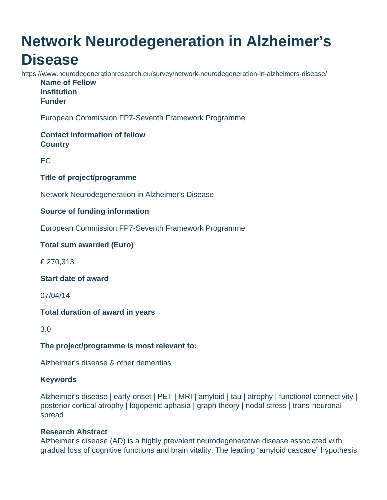# **Network Neurodegeneration in Alzheimer's Disease**

https://www.neurodegenerationresearch.eu/survey/network-neurodegeneration-in-alzheimers-disease/ **Name of Fellow Institution Funder**

European Commission FP7-Seventh Framework Programme

## **Contact information of fellow Country**

EC

## **Title of project/programme**

Network Neurodegeneration in Alzheimer's Disease

## **Source of funding information**

European Commission FP7-Seventh Framework Programme

## **Total sum awarded (Euro)**

€ 270,313

#### **Start date of award**

07/04/14

## **Total duration of award in years**

3.0

## **The project/programme is most relevant to:**

Alzheimer's disease & other dementias

#### **Keywords**

Alzheimer's disease | early-onset | PET | MRI | amyloid | tau | atrophy | functional connectivity | posterior cortical atrophy | logopenic aphasia | graph theory | nodal stress | trans-neuronal spread

## **Research Abstract**

Alzheimer's disease (AD) is a highly prevalent neurodegenerative disease associated with gradual loss of cognitive functions and brain vitality. The leading "amyloid cascade" hypothesis